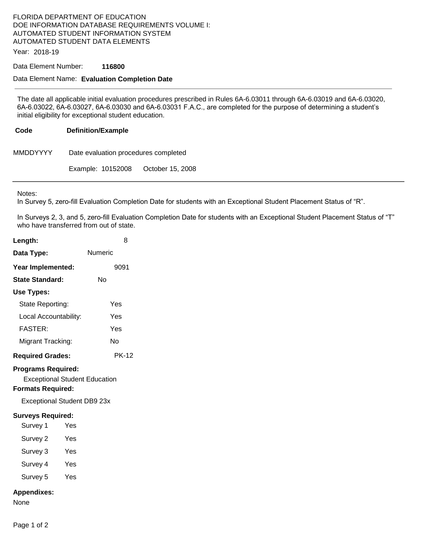# FLORIDA DEPARTMENT OF EDUCATION DOE INFORMATION DATABASE REQUIREMENTS VOLUME I: AUTOMATED STUDENT INFORMATION SYSTEM AUTOMATED STUDENT DATA ELEMENTS

Year: 2018-19

### Data Element Number: **116800**

### Data Element Name: **Evaluation Completion Date**

The date all applicable initial evaluation procedures prescribed in Rules 6A-6.03011 through 6A-6.03019 and 6A-6.03020, 6A-6.03022, 6A-6.03027, 6A-6.03030 and 6A-6.03031 F.A.C., are completed for the purpose of determining a student's initial eligibility for exceptional student education.

### **Code Definition/Example**

| MMDDYYYY | Date evaluation procedures completed |  |
|----------|--------------------------------------|--|
|          |                                      |  |

Example: 10152008 October 15, 2008

Notes:

In Survey 5, zero-fill Evaluation Completion Date for students with an Exceptional Student Placement Status of "R".

In Surveys 2, 3, and 5, zero-fill Evaluation Completion Date for students with an Exceptional Student Placement Status of "T" who have transferred from out of state.

| Length:                                                                                                                             |            |         | 8            |  |
|-------------------------------------------------------------------------------------------------------------------------------------|------------|---------|--------------|--|
| Data Type:                                                                                                                          |            | Numeric |              |  |
| Year Implemented:                                                                                                                   |            |         | 9091         |  |
| <b>State Standard:</b>                                                                                                              |            | Nο      |              |  |
| Use Types:                                                                                                                          |            |         |              |  |
| State Reporting:                                                                                                                    |            |         | Yes          |  |
| Local Accountability:                                                                                                               |            |         | Yes          |  |
| <b>FASTER:</b>                                                                                                                      |            |         | Yes          |  |
| Migrant Tracking:                                                                                                                   |            |         | No           |  |
| <b>Required Grades:</b>                                                                                                             |            |         | <b>PK-12</b> |  |
| <b>Programs Required:</b><br><b>Exceptional Student Education</b><br><b>Formats Required:</b><br><b>Exceptional Student DB9 23x</b> |            |         |              |  |
| <b>Surveys Required:</b>                                                                                                            |            |         |              |  |
| Survey 1                                                                                                                            | Yes        |         |              |  |
| Survey 2                                                                                                                            | Yes        |         |              |  |
| Survey 3                                                                                                                            | Yes        |         |              |  |
| Survey 4                                                                                                                            | - Yes      |         |              |  |
| Survey 5                                                                                                                            | <b>Yes</b> |         |              |  |
| <b>Appendixes:</b><br>None                                                                                                          |            |         |              |  |

Page 1 of 2